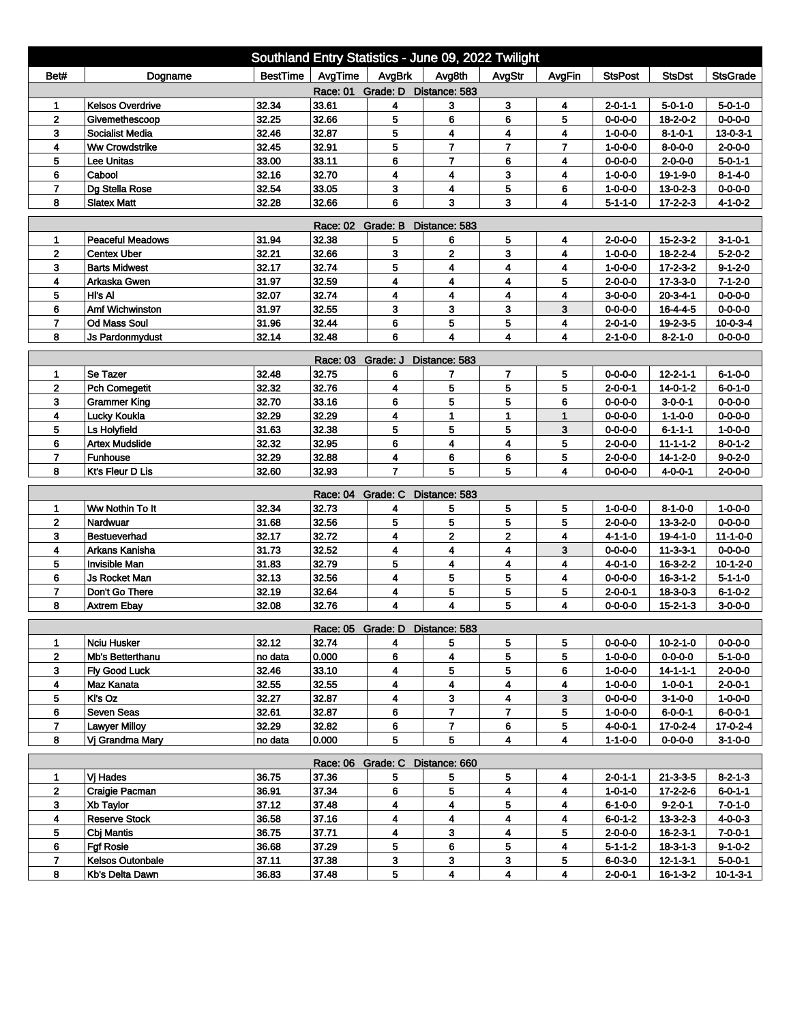| Southland Entry Statistics - June 09, 2022 Twilight |                                       |          |                   |                                 |                         |                |                         |                 |                  |                  |  |
|-----------------------------------------------------|---------------------------------------|----------|-------------------|---------------------------------|-------------------------|----------------|-------------------------|-----------------|------------------|------------------|--|
| Bet#                                                | Dogname                               | BestTime | AvgTime           | AvgBrk                          | Avg8th                  | AvgStr         | AvgFin                  | <b>StsPost</b>  | <b>StsDst</b>    | <b>StsGrade</b>  |  |
| Race: 01 Grade: D Distance: 583                     |                                       |          |                   |                                 |                         |                |                         |                 |                  |                  |  |
| 1                                                   | <b>Kelsos Overdrive</b>               | 32.34    | 33.61             | 4                               | 3                       | 3              | 4                       | $2 - 0 - 1 - 1$ | 5-0-1-0          | $5 - 0 - 1 - 0$  |  |
| $\mathbf{2}$                                        | Givemethescoop                        | 32.25    | 32.66             | 5                               | 6                       | 6              | 5                       | $0 - 0 - 0 - 0$ | 18-2-0-2         | $0 - 0 - 0 - 0$  |  |
| 3                                                   | <b>Socialist Media</b>                | 32.46    | 32.87             | 5                               | 4                       | 4              | 4                       | $1 - 0 - 0 - 0$ | $8 - 1 - 0 - 1$  | $13 - 0 - 3 - 1$ |  |
| 4                                                   | <b>Ww Crowdstrike</b>                 | 32.45    | 32.91             | 5                               | $\overline{7}$          | $\overline{7}$ | 7                       | $1 - 0 - 0 - 0$ | $8 - 0 - 0 - 0$  | $2 - 0 - 0 - 0$  |  |
| 5                                                   | Lee Unitas                            | 33.00    | 33.11             | 6                               | $\overline{7}$          | 6              | 4                       | $0 - 0 - 0 - 0$ | $2 - 0 - 0 - 0$  | $5 - 0 - 1 - 1$  |  |
| 6                                                   | Cabool                                | 32.16    | 32.70             | 4                               | 4                       | 3              | 4                       | $1 - 0 - 0 - 0$ | 19-1-9-0         | $8 - 1 - 4 - 0$  |  |
| $\overline{7}$                                      | Dg Stella Rose                        | 32.54    | 33.05             | 3                               | 4                       | 5              | 6                       | $1 - 0 - 0 - 0$ | $13 - 0 - 2 - 3$ | $0 - 0 - 0 - 0$  |  |
| 8                                                   | <b>Slatex Matt</b>                    | 32.28    | 32.66             | 6                               | 3                       | 3              | 4                       | $5 - 1 - 1 - 0$ | $17 - 2 - 2 - 3$ | $4 - 1 - 0 - 2$  |  |
| <b>Race: 02</b><br>Grade: B<br>Distance: 583        |                                       |          |                   |                                 |                         |                |                         |                 |                  |                  |  |
| 1                                                   | <b>Peaceful Meadows</b>               | 31.94    | 32.38             | 5                               | 6                       | 5              | 4                       | $2 - 0 - 0 - 0$ | $15 - 2 - 3 - 2$ | $3 - 1 - 0 - 1$  |  |
| $\overline{2}$                                      | <b>Centex Uber</b>                    | 32.21    | 32.66             | 3                               | $\mathbf 2$             | 3              | 4                       | $1 - 0 - 0 - 0$ | 18-2-2-4         | $5 - 2 - 0 - 2$  |  |
| 3                                                   | <b>Barts Midwest</b>                  | 32.17    | 32.74             | 5                               | 4                       | 4              | 4                       | $1 - 0 - 0 - 0$ | $17 - 2 - 3 - 2$ | $9 - 1 - 2 - 0$  |  |
| 4                                                   | Arkaska Gwen                          | 31.97    | 32.59             | 4                               | 4                       | 4              | 5                       | $2 - 0 - 0 - 0$ | $17 - 3 - 3 - 0$ | $7 - 1 - 2 - 0$  |  |
| 5                                                   | HI's Al                               | 32.07    | 32.74             | 4                               | 4                       | 4              | 4                       | 3-0-0-0         | $20 - 3 - 4 - 1$ | $0 - 0 - 0 - 0$  |  |
| 6                                                   | Amf Wichwinston                       | 31.97    | 32.55             | 3                               | 3                       | 3              | 3                       | $0 - 0 - 0 - 0$ | $16 - 4 - 4 - 5$ | $0 - 0 - 0 - 0$  |  |
| $\overline{7}$                                      | <b>Od Mass Soul</b>                   | 31.96    | 32.44             | 6                               | 5                       | 5              | 4                       | 2-0-1-0         | 19-2-3-5         | $10 - 0 - 3 - 4$ |  |
| 8                                                   | <b>Js Pardonmydust</b>                | 32.14    | 32.48             | 6                               | $\overline{\mathbf{4}}$ | 4              | 4                       | $2 - 1 - 0 - 0$ | $8-2-1-0$        | $0 - 0 - 0 - 0$  |  |
|                                                     | Grade: J<br>Race: 03<br>Distance: 583 |          |                   |                                 |                         |                |                         |                 |                  |                  |  |
| 1                                                   | Se Tazer                              | 32.48    | 32.75             | 6                               | 7                       | 7              | 5                       | $0 - 0 - 0 - 0$ | $12 - 2 - 1 - 1$ | $6 - 1 - 0 - 0$  |  |
| $\mathbf 2$                                         | Pch Comegetit                         | 32.32    | 32.76             | 4                               | 5                       | 5              | 5                       | $2 - 0 - 0 - 1$ | $14 - 0 - 1 - 2$ | $6 - 0 - 1 - 0$  |  |
| 3                                                   | <b>Grammer King</b>                   | 32.70    | 33.16             | 6                               | 5                       | 5              | 6                       | $0 - 0 - 0 - 0$ | $3 - 0 - 0 - 1$  | $0 - 0 - 0 - 0$  |  |
| 4                                                   | Lucky Koukla                          | 32.29    | 32.29             | 4                               | $\mathbf{1}$            | 1              | 1                       | 0-0-0-0         | $1 - 1 - 0 - 0$  | $0 - 0 - 0 - 0$  |  |
| 5                                                   | <b>Ls Holyfield</b>                   | 31.63    | 32.38             | 5                               | 5                       | 5              | 3                       | $0 - 0 - 0 - 0$ | $6 - 1 - 1 - 1$  | $1 - 0 - 0 - 0$  |  |
| 6                                                   | <b>Artex Mudslide</b>                 | 32.32    | 32.95             | 6                               | 4                       | 4              | 5                       | $2 - 0 - 0 - 0$ | $11 - 1 - 1 - 2$ | $8 - 0 - 1 - 2$  |  |
| 7                                                   | <b>Funhouse</b>                       | 32.29    | 32.88             | 4                               | 6                       | 6              | 5                       | $2 - 0 - 0 - 0$ | 14-1-2-0         | $9 - 0 - 2 - 0$  |  |
| 8                                                   | Kt's Fleur D Lis                      | 32.60    | 32.93             | $\overline{7}$                  | 5                       | 5              | $\overline{\mathbf{4}}$ | $0 - 0 - 0 - 0$ | $4 - 0 - 0 - 1$  | $2 - 0 - 0 - 0$  |  |
|                                                     |                                       |          | Race: 04 Grade: C |                                 | Distance: 583           |                |                         |                 |                  |                  |  |
| 1                                                   | Ww Nothin To It                       | 32.34    | 32.73             | 4                               | 5                       | 5              | 5                       | $1 - 0 - 0 - 0$ | $8 - 1 - 0 - 0$  | $1 - 0 - 0 - 0$  |  |
| $\mathbf{2}$                                        | Nardwuar                              | 31.68    | 32.56             | 5                               | 5                       | 5              | 5                       | $2 - 0 - 0 - 0$ | $13 - 3 - 2 - 0$ | $0 - 0 - 0 - 0$  |  |
| 3                                                   | <b>Bestueverhad</b>                   | 32.17    | 32.72             | 4                               | $\mathbf 2$             | 2              | 4                       | $4 - 1 - 1 - 0$ | 19-4-1-0         | $11 - 1 - 0 - 0$ |  |
| 4                                                   | Arkans Kanisha                        | 31.73    | 32.52             | 4                               | 4                       | 4              | 3                       | $0 - 0 - 0 - 0$ | $11 - 3 - 3 - 1$ | $0 - 0 - 0 - 0$  |  |
| 5                                                   | Invisible Man                         | 31.83    | 32.79             | 5                               | 4                       | 4              | 4                       | 4-0-1-0         | 16-3-2-2         | $10 - 1 - 2 - 0$ |  |
| 6                                                   | Js Rocket Man                         | 32.13    | 32.56             | 4                               | 5                       | 5              | 4                       | $0 - 0 - 0 - 0$ | $16 - 3 - 1 - 2$ | $5 - 1 - 1 - 0$  |  |
| $\overline{7}$                                      | Don't Go There                        | 32.19    | 32.64             | 4                               | 5                       | 5              | 5                       | $2 - 0 - 0 - 1$ | $18 - 3 - 0 - 3$ | $6 - 1 - 0 - 2$  |  |
| 8                                                   | <b>Axtrem Ebay</b>                    | 32.08    | 32.76             | 4                               | 4                       | 5              | 4                       | $0 - 0 - 0 - 0$ | $15 - 2 - 1 - 3$ | 3-0-0-0          |  |
|                                                     |                                       |          |                   | Race: 05 Grade: D Distance: 583 |                         |                |                         |                 |                  |                  |  |
| 1                                                   | Nciu Husker                           | 32.12    | 32.74             | 4                               | 5                       | 5              | 5                       | $0 - 0 - 0 - 0$ | $10 - 2 - 1 - 0$ | $0 - 0 - 0 - 0$  |  |
| $\overline{2}$                                      | Mb's Betterthanu                      | no data  | 0.000             | 6                               | 4                       | 5              | 5                       | $1 - 0 - 0 - 0$ | $0 - 0 - 0 - 0$  | $5-1-0-0$        |  |
| 3                                                   | <b>Fly Good Luck</b>                  | 32.46    | 33.10             | 4                               | 5                       | 5              | 6                       | $1 - 0 - 0 - 0$ | $14 - 1 - 1 - 1$ | $2 - 0 - 0 - 0$  |  |
| 4                                                   | Maz Kanata                            | 32.55    | 32.55             | 4                               | 4                       | 4              | 4                       | $1 - 0 - 0 - 0$ | $1 - 0 - 0 - 1$  | $2 - 0 - 0 - 1$  |  |
| 5                                                   | KI's Oz                               | 32.27    | 32.87             | 4                               | 3                       | 4              | 3                       | $0 - 0 - 0 - 0$ | $3 - 1 - 0 - 0$  | $1 - 0 - 0 - 0$  |  |
| 6                                                   | Seven Seas                            | 32.61    | 32.87             | 6                               | 7                       | 7              | 5                       | 1-0-0-0         | 6-0-0-1          | $6 - 0 - 0 - 1$  |  |
| $\overline{7}$                                      | <b>Lawyer Milloy</b>                  | 32.29    | 32.82             | 6                               | $\overline{7}$          | 6              | 5                       | $4 - 0 - 0 - 1$ | 17-0-2-4         | 17-0-2-4         |  |
| 8                                                   | Vi Grandma Marv                       | no data  | 0.000             | 5                               | 5                       | 4              | 4                       | $1 - 1 - 0 - 0$ | $0 - 0 - 0 - 0$  | $3-1-0-0$        |  |
|                                                     |                                       |          | Race: 06 Grade: C |                                 | Distance: 660           |                |                         |                 |                  |                  |  |
| 1                                                   | Vi Hades                              | 36.75    | 37.36             | 5                               | 5                       | 5              | 4                       | $2 - 0 - 1 - 1$ | $21 - 3 - 3 - 5$ | $8 - 2 - 1 - 3$  |  |
| $\mathbf{2}$                                        | Craigie Pacman                        | 36.91    | 37.34             | 6                               | 5                       | 4              | 4                       | $1 - 0 - 1 - 0$ | $17 - 2 - 2 - 6$ | 6-0-1-1          |  |
| 3                                                   | Xb Taylor                             | 37.12    | 37.48             | 4                               | 4                       | 5              | 4                       | $6 - 1 - 0 - 0$ | $9 - 2 - 0 - 1$  | $7 - 0 - 1 - 0$  |  |
| 4                                                   | <b>Reserve Stock</b>                  | 36.58    | 37.16             | 4                               | 4                       | 4              | 4                       | $6 - 0 - 1 - 2$ | $13 - 3 - 2 - 3$ | $4 - 0 - 0 - 3$  |  |
| 5                                                   | Cbj Mantis                            | 36.75    | 37.71             | 4                               | 3                       | 4              | 5                       | $2 - 0 - 0 - 0$ | $16 - 2 - 3 - 1$ | $7 - 0 - 0 - 1$  |  |
| 6                                                   | <b>Fgf Rosie</b>                      | 36.68    | 37.29             | 5                               | 6                       | 5              | 4                       | $5 - 1 - 1 - 2$ | $18 - 3 - 1 - 3$ | $9 - 1 - 0 - 2$  |  |
| 7                                                   | <b>Kelsos Outonbale</b>               | 37.11    | 37.38             | 3                               | 3                       | 3              | 5                       | $6 - 0 - 3 - 0$ | $12 - 1 - 3 - 1$ | 5-0-0-1          |  |
| 8                                                   | Kb's Delta Dawn                       | 36.83    | 37.48             | 5                               | 4                       | 4              | 4                       | $2 - 0 - 0 - 1$ | $16 - 1 - 3 - 2$ | $10 - 1 - 3 - 1$ |  |